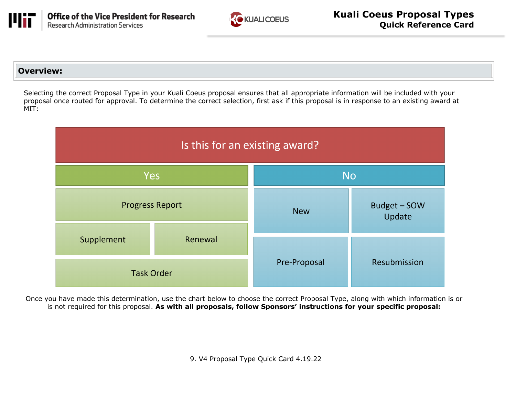



#### **Overview:**

 Selecting the correct Proposal Type in your Kuali Coeus proposal ensures that all appropriate information will be included with your proposal once routed for approval. To determine the correct selection, first ask if this proposal is in response to an existing award at MIT:



 Once you have made this determination, use the chart below to choose the correct Proposal Type, along with which information is or is not required for this proposal. **As with all proposals, follow Sponsors' instructions for your specific proposal:** 

9. V4 Proposal Type Quick Card 4.19.22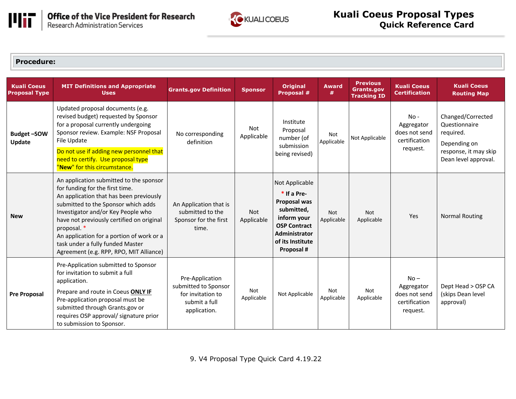

**Office of the Vice President for Research**<br>Research Administration Services



#### **Procedure:**

| <b>Kuali Coeus</b><br><b>Proposal Type</b> | <b>MIT Definitions and Appropriate</b><br><b>Uses</b>                                                                                                                                                                                                                                                                                                                                      | <b>Grants.gov Definition</b>                                                                  | <b>Sponsor</b>           | <b>Original</b><br>Proposal #                                                                                                                          | <b>Award</b><br>#        | <b>Previous</b><br><b>Grants.gov</b><br><b>Tracking ID</b> | <b>Kuali Coeus</b><br><b>Certification</b>                         | <b>Kuali Coeus</b><br><b>Routing Map</b>                                                                         |
|--------------------------------------------|--------------------------------------------------------------------------------------------------------------------------------------------------------------------------------------------------------------------------------------------------------------------------------------------------------------------------------------------------------------------------------------------|-----------------------------------------------------------------------------------------------|--------------------------|--------------------------------------------------------------------------------------------------------------------------------------------------------|--------------------------|------------------------------------------------------------|--------------------------------------------------------------------|------------------------------------------------------------------------------------------------------------------|
| <b>Budget-SOW</b><br>Update                | Updated proposal documents (e.g.<br>revised budget) requested by Sponsor<br>for a proposal currently undergoing<br>Sponsor review. Example: NSF Proposal<br>File Update<br>Do not use if adding new personnel that<br>need to certify. Use proposal type<br>"New" for this circumstance.                                                                                                   | No corresponding<br>definition                                                                | Not<br>Applicable        | Institute<br>Proposal<br>number (of<br>submission<br>being revised)                                                                                    | <b>Not</b><br>Applicable | Not Applicable                                             | $No -$<br>Aggregator<br>does not send<br>certification<br>request. | Changed/Corrected<br>Questionnaire<br>required.<br>Depending on<br>response, it may skip<br>Dean level approval. |
| <b>New</b>                                 | An application submitted to the sponsor<br>for funding for the first time.<br>An application that has been previously<br>submitted to the Sponsor which adds<br>Investigator and/or Key People who<br>have not previously certified on original<br>proposal. *<br>An application for a portion of work or a<br>task under a fully funded Master<br>Agreement (e.g. RPP, RPO, MIT Alliance) | An Application that is<br>submitted to the<br>Sponsor for the first<br>time.                  | <b>Not</b><br>Applicable | Not Applicable<br>$*$ If a Pre-<br>Proposal was<br>submitted,<br>inform your<br><b>OSP Contract</b><br>Administrator<br>of its Institute<br>Proposal # | Not<br>Applicable        | Not<br>Applicable                                          | Yes                                                                | <b>Normal Routing</b>                                                                                            |
| <b>Pre Proposal</b>                        | Pre-Application submitted to Sponsor<br>for invitation to submit a full<br>application.<br>Prepare and route in Coeus ONLY IF<br>Pre-application proposal must be<br>submitted through Grants.gov or<br>requires OSP approval/ signature prior<br>to submission to Sponsor.                                                                                                                | Pre-Application<br>submitted to Sponsor<br>for invitation to<br>submit a full<br>application. | <b>Not</b><br>Applicable | Not Applicable                                                                                                                                         | Not<br>Applicable        | <b>Not</b><br>Applicable                                   | $No -$<br>Aggregator<br>does not send<br>certification<br>request. | Dept Head > OSP CA<br>(skips Dean level<br>approval)                                                             |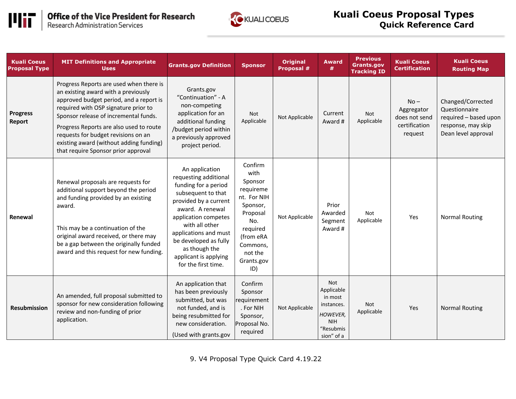



# **Kuali Coeus Proposal Types Quick Reference Card**

| <b>Kuali Coeus</b><br><b>Proposal Type</b> | <b>MIT Definitions and Appropriate</b><br><b>Uses</b>                                                                                                                                                                                                                                                                                                                          | <b>Grants.gov Definition</b>                                                                                                                                                                                                                                                                    | <b>Sponsor</b>                                                                                                                                             | <b>Original</b><br>Proposal # | <b>Award</b><br>#                                                                                      | <b>Previous</b><br><b>Grants.gov</b><br><b>Tracking ID</b> | <b>Kuali Coeus</b><br><b>Certification</b>                        | <b>Kuali Coeus</b><br><b>Routing Map</b>                                                                 |
|--------------------------------------------|--------------------------------------------------------------------------------------------------------------------------------------------------------------------------------------------------------------------------------------------------------------------------------------------------------------------------------------------------------------------------------|-------------------------------------------------------------------------------------------------------------------------------------------------------------------------------------------------------------------------------------------------------------------------------------------------|------------------------------------------------------------------------------------------------------------------------------------------------------------|-------------------------------|--------------------------------------------------------------------------------------------------------|------------------------------------------------------------|-------------------------------------------------------------------|----------------------------------------------------------------------------------------------------------|
| <b>Progress</b><br>Report                  | Progress Reports are used when there is<br>an existing award with a previously<br>approved budget period, and a report is<br>required with OSP signature prior to<br>Sponsor release of incremental funds.<br>Progress Reports are also used to route<br>requests for budget revisions on an<br>existing award (without adding funding)<br>that require Sponsor prior approval | Grants.gov<br>"Continuation" - A<br>non-competing<br>application for an<br>additional funding<br>/budget period within<br>a previously approved<br>project period.                                                                                                                              | Not<br>Applicable                                                                                                                                          | Not Applicable                | Current<br>Award #                                                                                     | Not<br>Applicable                                          | $No -$<br>Aggregator<br>does not send<br>certification<br>request | Changed/Corrected<br>Questionnaire<br>required - based upon<br>response, may skip<br>Dean level approval |
| Renewal                                    | Renewal proposals are requests for<br>additional support beyond the period<br>and funding provided by an existing<br>award.<br>This may be a continuation of the<br>original award received, or there may<br>be a gap between the originally funded<br>award and this request for new funding.                                                                                 | An application<br>requesting additional<br>funding for a period<br>subsequent to that<br>provided by a current<br>award. A renewal<br>application competes<br>with all other<br>applications and must<br>be developed as fully<br>as though the<br>applicant is applying<br>for the first time. | Confirm<br>with<br>Sponsor<br>requireme<br>nt. For NIH<br>Sponsor,<br>Proposal<br>No.<br>required<br>(from eRA<br>Commons,<br>not the<br>Grants.gov<br>ID) | Not Applicable                | Prior<br>Awarded<br>Segment<br>Award #                                                                 | Not<br>Applicable                                          | Yes                                                               | <b>Normal Routing</b>                                                                                    |
| <b>Resubmission</b>                        | An amended, full proposal submitted to<br>sponsor for new consideration following<br>review and non-funding of prior<br>application.                                                                                                                                                                                                                                           | An application that<br>has been previously<br>submitted, but was<br>not funded, and is<br>being resubmitted for<br>new consideration.<br>(Used with grants.gov                                                                                                                                  | Confirm<br>Sponsor<br>requirement<br>. For NIH<br>Sponsor,<br>Proposal No.<br>required                                                                     | Not Applicable                | Not<br>Applicable<br>in most<br>instances.<br><b>HOWEVER,</b><br><b>NIH</b><br>'Resubmis<br>sion" of a | Not<br>Applicable                                          | Yes                                                               | <b>Normal Routing</b>                                                                                    |

9. V4 Proposal Type Quick Card 4.19.22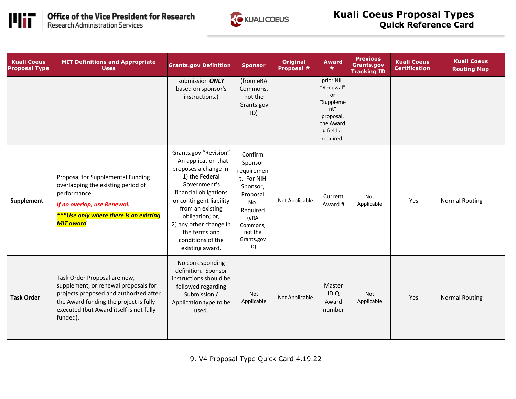



# **Kuali Coeus Proposal Types Quick Reference Card**

| <b>Kuali Coeus</b><br><b>Proposal Type</b> | <b>MIT Definitions and Appropriate</b><br><b>Uses</b>                                                                                                                                                           | <b>Grants.gov Definition</b>                                                                                                                                                                                                                                                            | <b>Sponsor</b>                                                                                                                                | <b>Original</b><br>Proposal # | <b>Award</b><br>#                                                                                     | <b>Previous</b><br><b>Grants.gov</b><br><b>Tracking ID</b> | <b>Kuali Coeus</b><br><b>Certification</b> | <b>Kuali Coeus</b><br><b>Routing Map</b> |
|--------------------------------------------|-----------------------------------------------------------------------------------------------------------------------------------------------------------------------------------------------------------------|-----------------------------------------------------------------------------------------------------------------------------------------------------------------------------------------------------------------------------------------------------------------------------------------|-----------------------------------------------------------------------------------------------------------------------------------------------|-------------------------------|-------------------------------------------------------------------------------------------------------|------------------------------------------------------------|--------------------------------------------|------------------------------------------|
|                                            |                                                                                                                                                                                                                 | submission ONLY<br>based on sponsor's<br>instructions.)                                                                                                                                                                                                                                 | (from eRA<br>Commons,<br>not the<br>Grants.gov<br>ID)                                                                                         |                               | prior NIH<br>"Renewal"<br>or<br>"Suppleme<br>nt"<br>proposal,<br>the Award<br># field is<br>required. |                                                            |                                            |                                          |
| <b>Supplement</b>                          | Proposal for Supplemental Funding<br>overlapping the existing period of<br>performance.<br>If no overlap, use Renewal.<br><b>***Use only where there is an existing</b><br><b>MIT</b> award                     | Grants.gov "Revision"<br>- An application that<br>proposes a change in:<br>1) the Federal<br>Government's<br>financial obligations<br>or contingent liability<br>from an existing<br>obligation; or,<br>2) any other change in<br>the terms and<br>conditions of the<br>existing award. | Confirm<br>Sponsor<br>requiremen<br>t. For NIH<br>Sponsor,<br>Proposal<br>No.<br>Required<br>(eRA<br>Commons,<br>not the<br>Grants.gov<br>ID) | Not Applicable                | Current<br>Award #                                                                                    | Not<br>Applicable                                          | Yes                                        | <b>Normal Routing</b>                    |
| <b>Task Order</b>                          | Task Order Proposal are new,<br>supplement, or renewal proposals for<br>projects proposed and authorized after<br>the Award funding the project is fully<br>executed (but Award itself is not fully<br>funded). | No corresponding<br>definition. Sponsor<br>instructions should be<br>followed regarding<br>Submission /<br>Application type to be<br>used.                                                                                                                                              | Not<br>Applicable                                                                                                                             | Not Applicable                | Master<br><b>IDIQ</b><br>Award<br>number                                                              | Not<br>Applicable                                          | Yes                                        | <b>Normal Routing</b>                    |